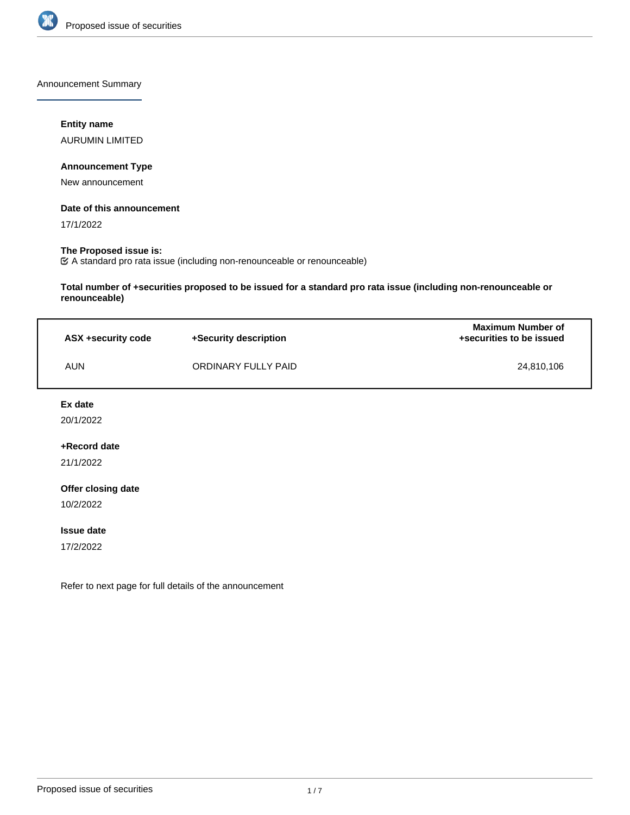

Announcement Summary

## **Entity name**

AURUMIN LIMITED

## **Announcement Type**

New announcement

## **Date of this announcement**

17/1/2022

# **The Proposed issue is:**

A standard pro rata issue (including non-renounceable or renounceable)

**Total number of +securities proposed to be issued for a standard pro rata issue (including non-renounceable or renounceable)**

| ASX +security code | +Security description | <b>Maximum Number of</b><br>+securities to be issued |
|--------------------|-----------------------|------------------------------------------------------|
| AUN                | ORDINARY FULLY PAID   | 24.810.106                                           |

## **Ex date**

20/1/2022

## **+Record date**

21/1/2022

## **Offer closing date**

10/2/2022

#### **Issue date**

17/2/2022

Refer to next page for full details of the announcement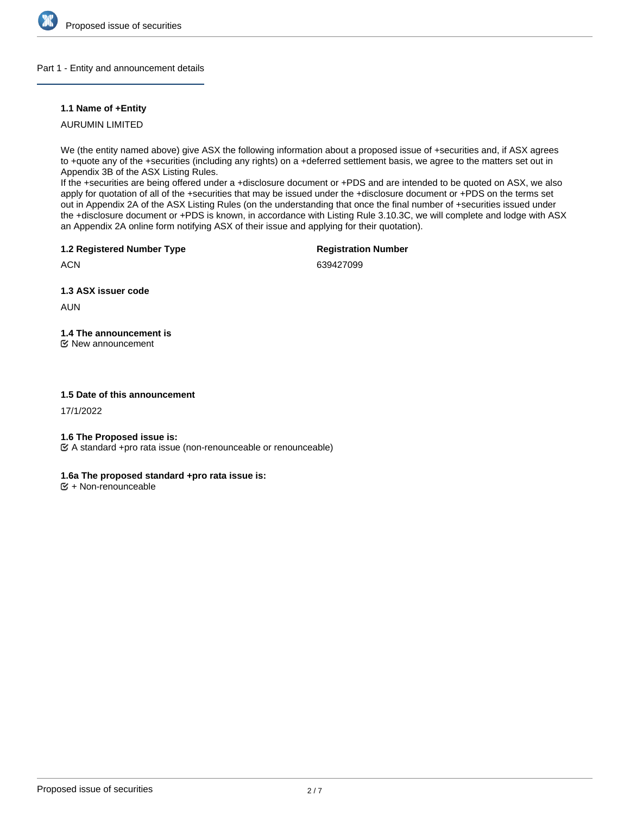

## Part 1 - Entity and announcement details

## **1.1 Name of +Entity**

AURUMIN LIMITED

We (the entity named above) give ASX the following information about a proposed issue of +securities and, if ASX agrees to +quote any of the +securities (including any rights) on a +deferred settlement basis, we agree to the matters set out in Appendix 3B of the ASX Listing Rules.

If the +securities are being offered under a +disclosure document or +PDS and are intended to be quoted on ASX, we also apply for quotation of all of the +securities that may be issued under the +disclosure document or +PDS on the terms set out in Appendix 2A of the ASX Listing Rules (on the understanding that once the final number of +securities issued under the +disclosure document or +PDS is known, in accordance with Listing Rule 3.10.3C, we will complete and lodge with ASX an Appendix 2A online form notifying ASX of their issue and applying for their quotation).

**1.2 Registered Number Type**

**Registration Number**

**ACN** 

639427099

**1.3 ASX issuer code**

AUN

**1.4 The announcement is**

New announcement

# **1.5 Date of this announcement**

17/1/2022

## **1.6 The Proposed issue is:**

A standard +pro rata issue (non-renounceable or renounceable)

# **1.6a The proposed standard +pro rata issue is:**

 $E + \text{Non-renounceable}$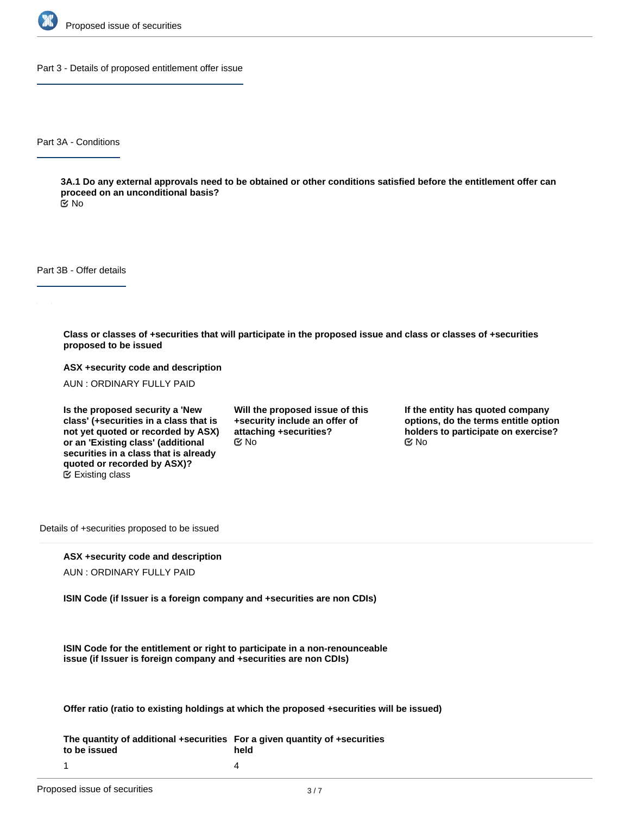

Part 3 - Details of proposed entitlement offer issue

Part 3A - Conditions

**3A.1 Do any external approvals need to be obtained or other conditions satisfied before the entitlement offer can proceed on an unconditional basis?**

No

Part 3B - Offer details

**Class or classes of +securities that will participate in the proposed issue and class or classes of +securities proposed to be issued**

**ASX +security code and description**

AUN : ORDINARY FULLY PAID

**Is the proposed security a 'New class' (+securities in a class that is not yet quoted or recorded by ASX) or an 'Existing class' (additional securities in a class that is already quoted or recorded by ASX)?** Existing class

**Will the proposed issue of this +security include an offer of attaching +securities?**  $\mathfrak{S}$  No  $\mathfrak{S}$  No  $\mathfrak{S}$  No

**If the entity has quoted company options, do the terms entitle option holders to participate on exercise?**

Details of +securities proposed to be issued

## **ASX +security code and description**

AUN : ORDINARY FULLY PAID

**ISIN Code (if Issuer is a foreign company and +securities are non CDIs)**

**ISIN Code for the entitlement or right to participate in a non-renounceable issue (if Issuer is foreign company and +securities are non CDIs)**

**Offer ratio (ratio to existing holdings at which the proposed +securities will be issued)**

**The quantity of additional +securities For a given quantity of +securities to be issued held** 4

1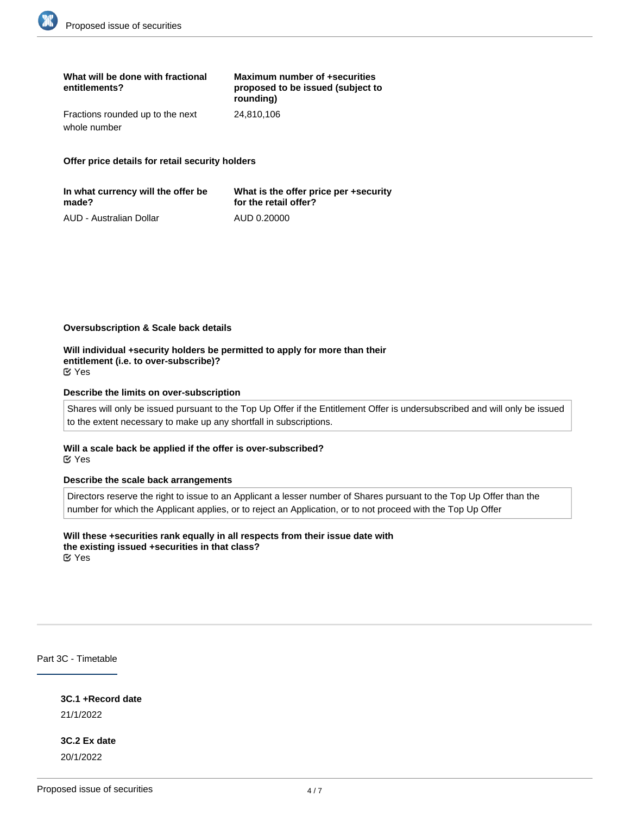| What will be done with fractional<br>entitlements? | Maximum number of +securities<br>proposed to be issued (subject to<br>rounding) |
|----------------------------------------------------|---------------------------------------------------------------------------------|
| Fractions rounded up to the next                   | 24.810.106                                                                      |
| whole number                                       |                                                                                 |

**Offer price details for retail security holders**

| In what currency will the offer be | What is the offer price per +security |
|------------------------------------|---------------------------------------|
| made?                              | for the retail offer?                 |
| AUD - Australian Dollar            | AUD 0.20000                           |

#### **Oversubscription & Scale back details**

**Will individual +security holders be permitted to apply for more than their entitlement (i.e. to over-subscribe)?** Yes

#### **Describe the limits on over-subscription**

Shares will only be issued pursuant to the Top Up Offer if the Entitlement Offer is undersubscribed and will only be issued to the extent necessary to make up any shortfall in subscriptions.

#### **Will a scale back be applied if the offer is over-subscribed?** Yes

#### **Describe the scale back arrangements**

Directors reserve the right to issue to an Applicant a lesser number of Shares pursuant to the Top Up Offer than the number for which the Applicant applies, or to reject an Application, or to not proceed with the Top Up Offer

**Will these +securities rank equally in all respects from their issue date with the existing issued +securities in that class?** Yes

Part 3C - Timetable

**3C.1 +Record date** 21/1/2022

**3C.2 Ex date** 20/1/2022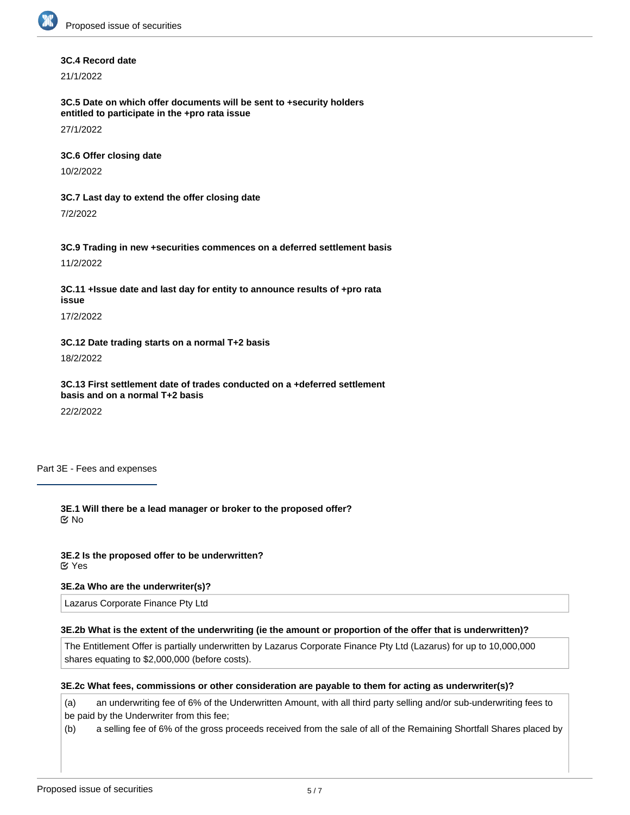#### **3C.4 Record date**

21/1/2022

**3C.5 Date on which offer documents will be sent to +security holders entitled to participate in the +pro rata issue**

27/1/2022

**3C.6 Offer closing date**

10/2/2022

**3C.7 Last day to extend the offer closing date**

7/2/2022

**3C.9 Trading in new +securities commences on a deferred settlement basis**

11/2/2022

**3C.11 +Issue date and last day for entity to announce results of +pro rata issue**

17/2/2022

## **3C.12 Date trading starts on a normal T+2 basis**

18/2/2022

**3C.13 First settlement date of trades conducted on a +deferred settlement basis and on a normal T+2 basis**

22/2/2022

Part 3E - Fees and expenses

**3E.1 Will there be a lead manager or broker to the proposed offer?** No

**3E.2 Is the proposed offer to be underwritten?** Yes

## **3E.2a Who are the underwriter(s)?**

Lazarus Corporate Finance Pty Ltd

## **3E.2b What is the extent of the underwriting (ie the amount or proportion of the offer that is underwritten)?**

The Entitlement Offer is partially underwritten by Lazarus Corporate Finance Pty Ltd (Lazarus) for up to 10,000,000 shares equating to \$2,000,000 (before costs).

## **3E.2c What fees, commissions or other consideration are payable to them for acting as underwriter(s)?**

(a) an underwriting fee of 6% of the Underwritten Amount, with all third party selling and/or sub-underwriting fees to be paid by the Underwriter from this fee;

(b) a selling fee of 6% of the gross proceeds received from the sale of all of the Remaining Shortfall Shares placed by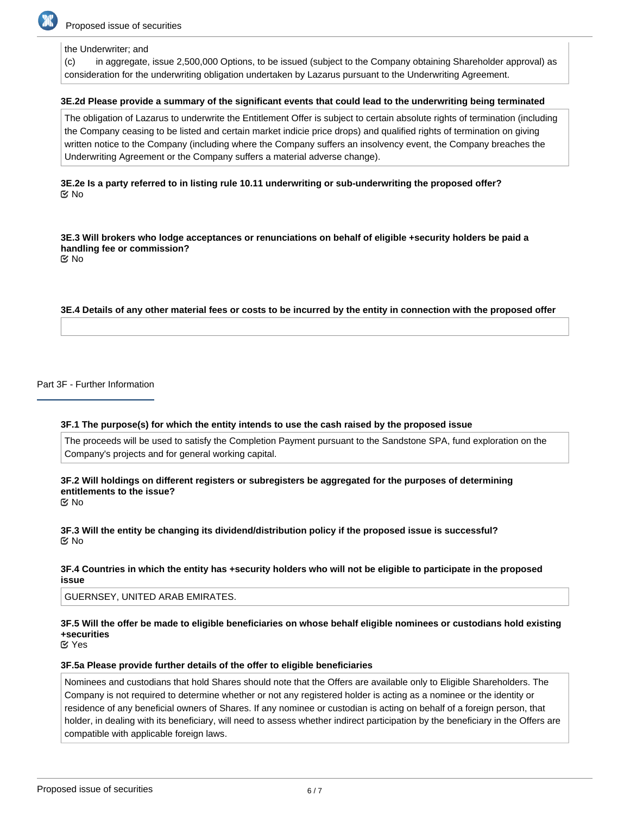

## the Underwriter; and

(c) in aggregate, issue 2,500,000 Options, to be issued (subject to the Company obtaining Shareholder approval) as consideration for the underwriting obligation undertaken by Lazarus pursuant to the Underwriting Agreement.

#### **3E.2d Please provide a summary of the significant events that could lead to the underwriting being terminated**

The obligation of Lazarus to underwrite the Entitlement Offer is subject to certain absolute rights of termination (including the Company ceasing to be listed and certain market indicie price drops) and qualified rights of termination on giving written notice to the Company (including where the Company suffers an insolvency event, the Company breaches the Underwriting Agreement or the Company suffers a material adverse change).

## **3E.2e Is a party referred to in listing rule 10.11 underwriting or sub-underwriting the proposed offer? K** No

**3E.3 Will brokers who lodge acceptances or renunciations on behalf of eligible +security holders be paid a handling fee or commission?** No

**3E.4 Details of any other material fees or costs to be incurred by the entity in connection with the proposed offer**

Part 3F - Further Information

#### **3F.1 The purpose(s) for which the entity intends to use the cash raised by the proposed issue**

The proceeds will be used to satisfy the Completion Payment pursuant to the Sandstone SPA, fund exploration on the Company's projects and for general working capital.

# **3F.2 Will holdings on different registers or subregisters be aggregated for the purposes of determining entitlements to the issue?**

No

## **3F.3 Will the entity be changing its dividend/distribution policy if the proposed issue is successful?** No

#### **3F.4 Countries in which the entity has +security holders who will not be eligible to participate in the proposed issue**

GUERNSEY, UNITED ARAB EMIRATES.

# **3F.5 Will the offer be made to eligible beneficiaries on whose behalf eligible nominees or custodians hold existing +securities**

Yes

#### **3F.5a Please provide further details of the offer to eligible beneficiaries**

Nominees and custodians that hold Shares should note that the Offers are available only to Eligible Shareholders. The Company is not required to determine whether or not any registered holder is acting as a nominee or the identity or residence of any beneficial owners of Shares. If any nominee or custodian is acting on behalf of a foreign person, that holder, in dealing with its beneficiary, will need to assess whether indirect participation by the beneficiary in the Offers are compatible with applicable foreign laws.